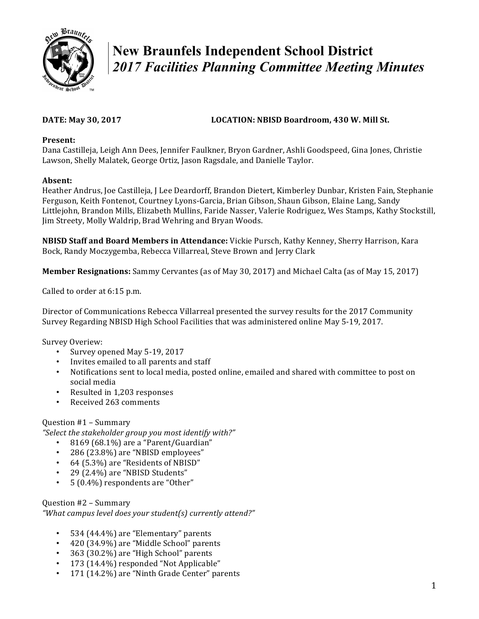

# **New Braunfels Independent School District**  *2017 Facilities Planning Committee Meeting Minutes*

### **DATE:** May 30, 2017 **LOCATION:** NBISD Boardroom, 430 W. Mill St.

#### **Present:**

Dana Castilleja, Leigh Ann Dees, Jennifer Faulkner, Bryon Gardner, Ashli Goodspeed, Gina Jones, Christie Lawson, Shelly Malatek, George Ortiz, Jason Ragsdale, and Danielle Taylor.

#### **Absent:**

Heather Andrus, Joe Castilleja, J Lee Deardorff, Brandon Dietert, Kimberley Dunbar, Kristen Fain, Stephanie Ferguson, Keith Fontenot, Courtney Lyons-Garcia, Brian Gibson, Shaun Gibson, Elaine Lang, Sandy Littlejohn, Brandon Mills, Elizabeth Mullins, Faride Nasser, Valerie Rodriguez, Wes Stamps, Kathy Stockstill, Jim Streety, Molly Waldrip, Brad Wehring and Bryan Woods.

**NBISD Staff and Board Members in Attendance:** Vickie Pursch, Kathy Kenney, Sherry Harrison, Kara Bock, Randy Moczygemba, Rebecca Villarreal, Steve Brown and Jerry Clark

**Member Resignations:** Sammy Cervantes (as of May 30, 2017) and Michael Calta (as of May 15, 2017)

Called to order at 6:15 p.m.

Director of Communications Rebecca Villarreal presented the survey results for the 2017 Community Survey Regarding NBISD High School Facilities that was administered online May 5-19, 2017.

Survey Overiew:

- Survey opened May 5-19, 2017
- Invites emailed to all parents and staff
- Notifications sent to local media, posted online, emailed and shared with committee to post on social media
- Resulted in 1.203 responses
- Received 263 comments

#### Question #1 – Summary

*"Select the stakeholder group you most identify with?"*

- 8169 (68.1%) are a "Parent/Guardian"
- 286 (23.8%) are "NBISD employees"
- 64 (5.3%) are "Residents of NBISD"
- 29 (2.4%) are "NBISD Students"
- $5(0.4\%)$  respondents are "Other"

Question #2 – Summary "What campus level does your student(s) currently attend?"

- 534 (44.4%) are "Elementary" parents
- 420 (34.9%) are "Middle School" parents
- 363 (30.2%) are "High School" parents
- 173 (14.4%) responded "Not Applicable"
- 171 (14.2%) are "Ninth Grade Center" parents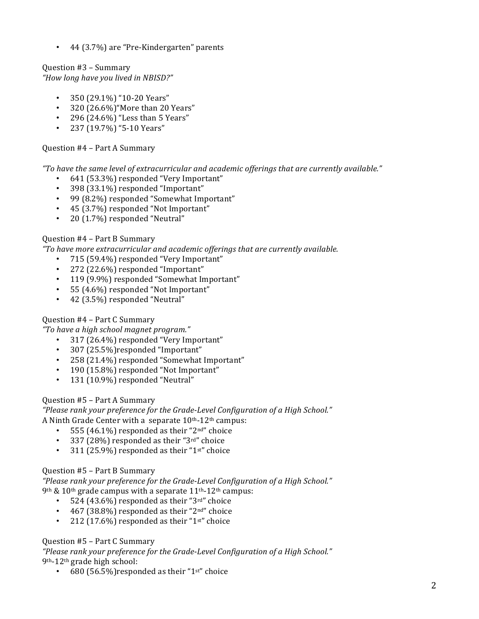• 44 (3.7%) are "Pre-Kindergarten" parents

Question #3 – Summary *"How long have you lived in NBISD?"*

- 350 (29.1%) "10-20 Years"
- $320 (26.6\%)$ "More than 20 Years"
- 296 (24.6%) "Less than 5 Years"
- 237 (19.7%) "5-10 Years"

#### Question #4 – Part A Summary

*"To have the same level of extracurricular and academic offerings that are currently available."*

- 641 (53.3%) responded "Very Important"
- 398 (33.1%) responded "Important"
- 99 (8.2%) responded "Somewhat Important"
- 45 (3.7%) responded "Not Important"
- 20 (1.7%) responded "Neutral"

#### Question #4 – Part B Summary

*"To have more extracurricular and academic offerings that are currently available.*

- 715 (59.4%) responded "Very Important"
- 272 (22.6%) responded "Important"
- 119 (9.9%) responded "Somewhat Important"
- 55 (4.6%) responded "Not Important"
- 42 (3.5%) responded "Neutral"

### Question #4 – Part C Summary

*"To have a high school magnet program."*

- 317 (26.4%) responded "Very Important"
- 307 (25.5%)responded "Important"
- 258 (21.4%) responded "Somewhat Important"
- 190 (15.8%) responded "Not Important"
- 131 (10.9%) responded "Neutral"

### Question #5 – Part A Summary

"Please rank your preference for the Grade-Level Configuration of a High School." A Ninth Grade Center with a separate  $10<sup>th</sup>$ -12<sup>th</sup> campus:

- 555 (46.1%) responded as their "2<sup>nd"</sup> choice
- 337 (28%) responded as their "3rd" choice
- 311 (25.9%) responded as their " $1<sup>st</sup>$ " choice

#### Question #5 - Part B Summary

"Please rank your preference for the Grade-Level Configuration of a High School."  $9th \& 10th$  grade campus with a separate  $11th-12th$  campus:

- 524  $(43.6\%)$  responded as their "3rd" choice
- 467 (38.8%) responded as their "2<sup>nd"</sup> choice
- 212 (17.6%) responded as their "1st" choice

#### Question #5 - Part C Summary

"Please rank your preference for the Grade-Level Configuration of a High School."  $9<sup>th-12<sup>th</sup></sup>$  grade high school:

• 680 (56.5%) responded as their " $1<sup>st</sup>$ " choice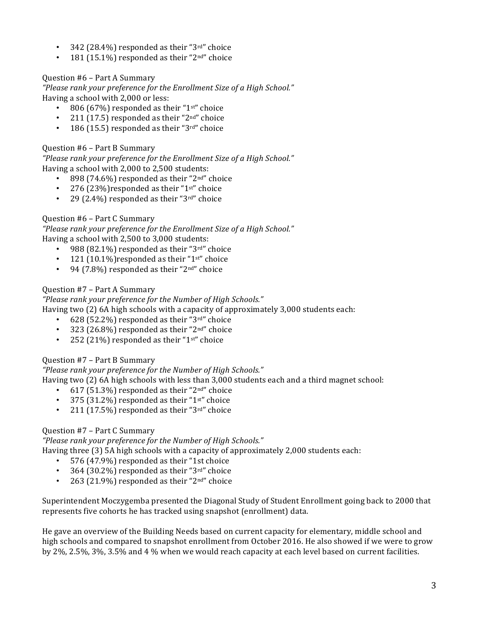- 342 (28.4%) responded as their " $3<sup>rd</sup>$ " choice
- 181 (15.1%) responded as their "2<sup>nd"</sup> choice

#### Question #6 – Part A Summary

"Please rank your preference for the Enrollment Size of a High School." Having a school with 2,000 or less:

- 806 (67%) responded as their "1st" choice
- 211 (17.5) responded as their "2<sup>nd"</sup> choice
- 186 (15.5) responded as their "3 $rd$ " choice

#### Question #6 – Part B Summary

"Please rank your preference for the Enrollment Size of a High School." Having a school with 2,000 to 2,500 students:

- 898 (74.6%) responded as their " $2<sup>nd</sup>$ " choice
- 276 (23%) responded as their "1st" choice
- 29 (2.4%) responded as their " $3<sup>rd</sup>$ " choice

#### Question #6 - Part C Summary

"Please rank your preference for the Enrollment Size of a High School." Having a school with 2,500 to 3,000 students:

- 988 (82.1%) responded as their " $3<sup>rd</sup>$ " choice
- 121 (10.1%) responded as their "1st" choice
- 94 (7.8%) responded as their " $2<sup>nd</sup>$ " choice

#### Question #7 – Part A Summary

## *"Please rank your preference for the Number of High Schools."*

Having two  $(2)$  6A high schools with a capacity of approximately 3,000 students each:

- 628 (52.2%) responded as their " $3<sup>rd</sup>$ " choice
- 323 (26.8%) responded as their " $2<sup>nd</sup>$ " choice
- 252 (21%) responded as their "1st" choice

#### Question #7 – Part B Summary

"Please rank your preference for the Number of High Schools."

Having two  $(2)$  6A high schools with less than 3,000 students each and a third magnet school:

- 617 (51.3%) responded as their " $2<sup>nd</sup>$ " choice
- 375 (31.2%) responded as their " $1<sup>st</sup>$ " choice
- 211 (17.5%) responded as their "3rd" choice

### Question #7 - Part C Summary

*"Please rank your preference for the Number of High Schools."*

Having three  $(3)$  5A high schools with a capacity of approximately 2,000 students each:

- 576 (47.9%) responded as their "1st choice
- 364 (30.2%) responded as their "3rd" choice
- 263 (21.9%) responded as their " $2<sup>nd</sup>$ " choice

Superintendent Moczygemba presented the Diagonal Study of Student Enrollment going back to 2000 that represents five cohorts he has tracked using snapshot (enrollment) data.

He gave an overview of the Building Needs based on current capacity for elementary, middle school and high schools and compared to snapshot enrollment from October 2016. He also showed if we were to grow by 2%, 2.5%, 3%, 3.5% and 4 % when we would reach capacity at each level based on current facilities.